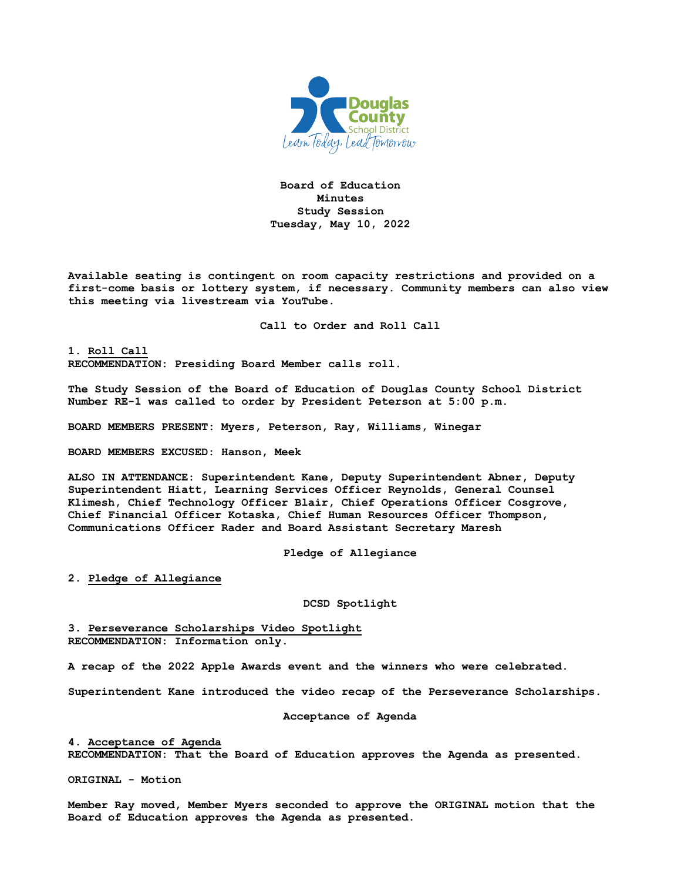

**Board of Education Minutes Study Session Tuesday, May 10, 2022**

**Available seating is contingent on room capacity restrictions and provided on a first-come basis or lottery system, if necessary. Community members can also view this meeting via livestream via YouTube.**

**Call to Order and Roll Call**

**1. Roll Call RECOMMENDATION: Presiding Board Member calls roll.**

**The Study Session of the Board of Education of Douglas County School District Number RE-1 was called to order by President Peterson at 5:00 p.m.**

**BOARD MEMBERS PRESENT: Myers, Peterson, Ray, Williams, Winegar**

**BOARD MEMBERS EXCUSED: Hanson, Meek**

**ALSO IN ATTENDANCE: Superintendent Kane, Deputy Superintendent Abner, Deputy Superintendent Hiatt, Learning Services Officer Reynolds, General Counsel Klimesh, Chief Technology Officer Blair, Chief Operations Officer Cosgrove, Chief Financial Officer Kotaska, Chief Human Resources Officer Thompson, Communications Officer Rader and Board Assistant Secretary Maresh**

**Pledge of Allegiance**

**2. Pledge of Allegiance**

**DCSD Spotlight**

**3. Perseverance Scholarships Video Spotlight RECOMMENDATION: Information only.**

**A recap of the 2022 Apple Awards event and the winners who were celebrated.** 

**Superintendent Kane introduced the video recap of the Perseverance Scholarships.**

**Acceptance of Agenda**

**4. Acceptance of Agenda RECOMMENDATION: That the Board of Education approves the Agenda as presented.**

**ORIGINAL - Motion** 

**Member Ray moved, Member Myers seconded to approve the ORIGINAL motion that the Board of Education approves the Agenda as presented.**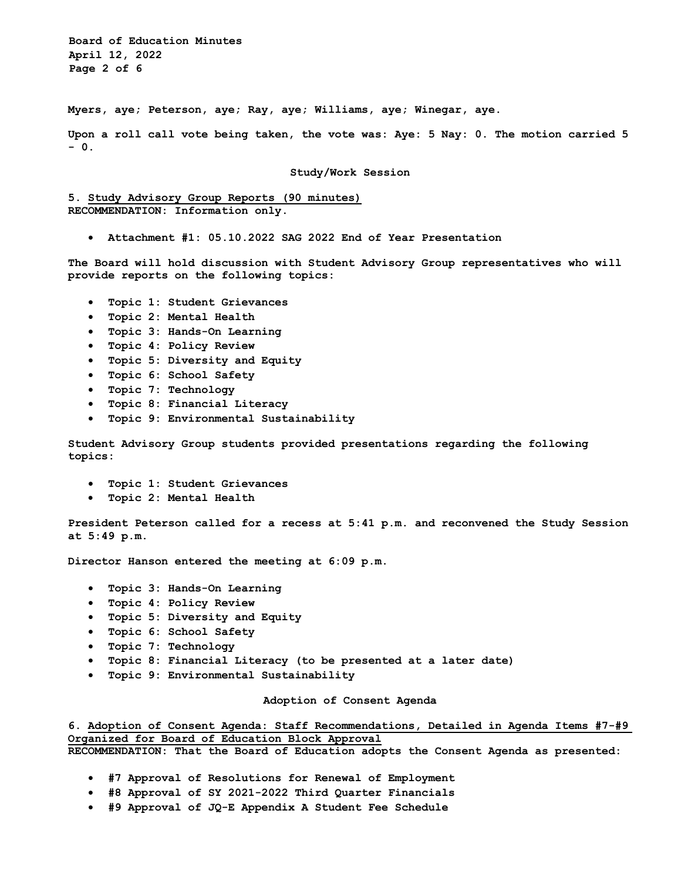**Board of Education Minutes April 12, 2022 Page 2 of 6** 

**Myers, aye; Peterson, aye; Ray, aye; Williams, aye; Winegar, aye.** 

**Upon a roll call vote being taken, the vote was: Aye: 5 Nay: 0. The motion carried 5 - 0.**

#### **Study/Work Session**

**5. Study Advisory Group Reports (90 minutes) RECOMMENDATION: Information only.**

• **Attachment #1: 05.10.2022 SAG 2022 End of Year Presentation**

**The Board will hold discussion with Student Advisory Group representatives who will provide reports on the following topics:** 

- **Topic 1: Student Grievances**
- **Topic 2: Mental Health**
- **Topic 3: Hands-On Learning**
- **Topic 4: Policy Review**
- **Topic 5: Diversity and Equity**
- **Topic 6: School Safety**
- **Topic 7: Technology**
- **Topic 8: Financial Literacy**
- **Topic 9: Environmental Sustainability**

**Student Advisory Group students provided presentations regarding the following topics:**

- **Topic 1: Student Grievances**
- **Topic 2: Mental Health**

**President Peterson called for a recess at 5:41 p.m. and reconvened the Study Session at 5:49 p.m.**

**Director Hanson entered the meeting at 6:09 p.m.**

- **Topic 3: Hands-On Learning**
- **Topic 4: Policy Review**
- **Topic 5: Diversity and Equity**
- **Topic 6: School Safety**
- **Topic 7: Technology**
- **Topic 8: Financial Literacy (to be presented at a later date)**
- **Topic 9: Environmental Sustainability**

## **Adoption of Consent Agenda**

**6. Adoption of Consent Agenda: Staff Recommendations, Detailed in Agenda Items #7-#9 Organized for Board of Education Block Approval**

**RECOMMENDATION: That the Board of Education adopts the Consent Agenda as presented:**

- **#7 Approval of Resolutions for Renewal of Employment**
- **#8 Approval of SY 2021-2022 Third Quarter Financials**
- **#9 Approval of JQ-E Appendix A Student Fee Schedule**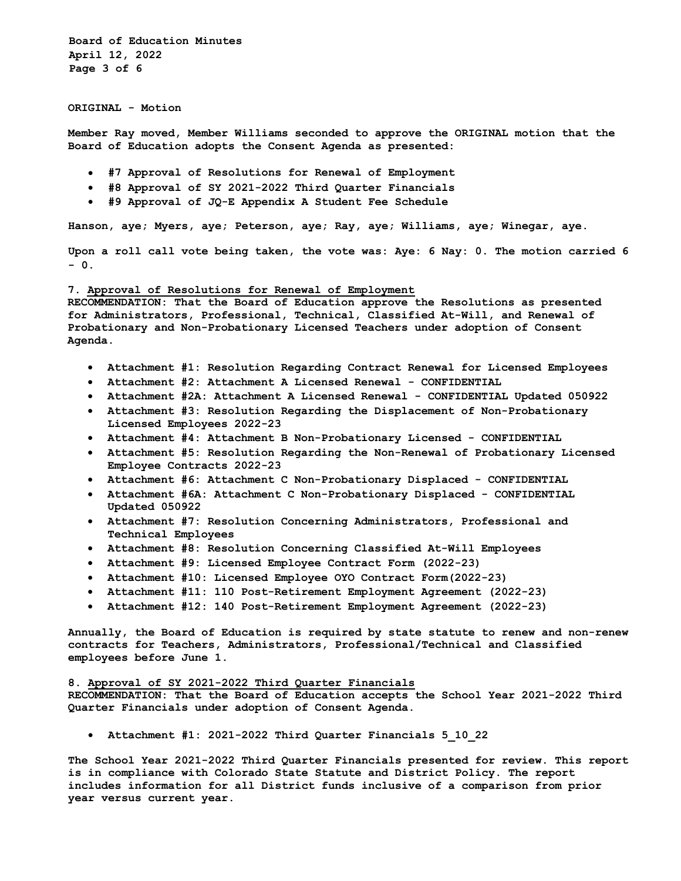**Board of Education Minutes April 12, 2022 Page 3 of 6** 

**ORIGINAL - Motion** 

**Member Ray moved, Member Williams seconded to approve the ORIGINAL motion that the Board of Education adopts the Consent Agenda as presented:** 

- **#7 Approval of Resolutions for Renewal of Employment**
- **#8 Approval of SY 2021-2022 Third Quarter Financials**
- **#9 Approval of JQ-E Appendix A Student Fee Schedule**

**Hanson, aye; Myers, aye; Peterson, aye; Ray, aye; Williams, aye; Winegar, aye.** 

**Upon a roll call vote being taken, the vote was: Aye: 6 Nay: 0. The motion carried 6 - 0.**

### **7. Approval of Resolutions for Renewal of Employment**

**RECOMMENDATION: That the Board of Education approve the Resolutions as presented for Administrators, Professional, Technical, Classified At-Will, and Renewal of Probationary and Non-Probationary Licensed Teachers under adoption of Consent Agenda.**

- **Attachment #1: Resolution Regarding Contract Renewal for Licensed Employees**
- **Attachment #2: Attachment A Licensed Renewal CONFIDENTIAL**
- **Attachment #2A: Attachment A Licensed Renewal CONFIDENTIAL Updated 050922**
- **Attachment #3: Resolution Regarding the Displacement of Non-Probationary Licensed Employees 2022-23**
- **Attachment #4: Attachment B Non-Probationary Licensed CONFIDENTIAL**
- **Attachment #5: Resolution Regarding the Non-Renewal of Probationary Licensed Employee Contracts 2022-23**
- **Attachment #6: Attachment C Non-Probationary Displaced CONFIDENTIAL**
- **Attachment #6A: Attachment C Non-Probationary Displaced CONFIDENTIAL Updated 050922**
- **Attachment #7: Resolution Concerning Administrators, Professional and Technical Employees**
- **Attachment #8: Resolution Concerning Classified At-Will Employees**
- **Attachment #9: Licensed Employee Contract Form (2022-23)**
- **Attachment #10: Licensed Employee OYO Contract Form(2022-23)**
- **Attachment #11: 110 Post-Retirement Employment Agreement (2022-23)**
- **Attachment #12: 140 Post-Retirement Employment Agreement (2022-23)**

**Annually, the Board of Education is required by state statute to renew and non-renew contracts for Teachers, Administrators, Professional/Technical and Classified employees before June 1.** 

#### **8. Approval of SY 2021-2022 Third Quarter Financials**

**RECOMMENDATION: That the Board of Education accepts the School Year 2021-2022 Third Quarter Financials under adoption of Consent Agenda.**

• **Attachment #1: 2021-2022 Third Quarter Financials 5\_10\_22**

**The School Year 2021-2022 Third Quarter Financials presented for review. This report is in compliance with Colorado State Statute and District Policy. The report includes information for all District funds inclusive of a comparison from prior year versus current year.**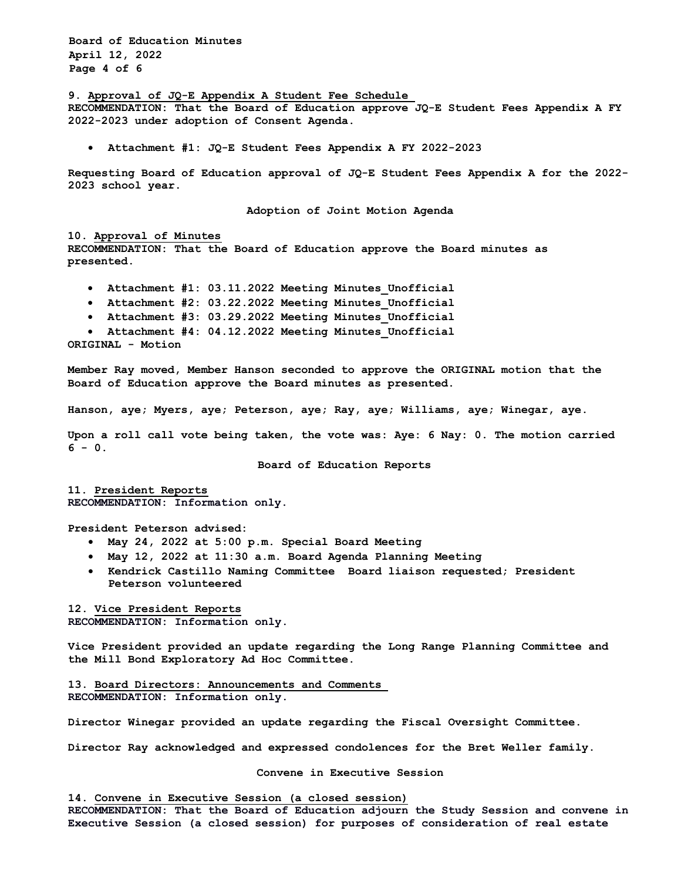**Board of Education Minutes April 12, 2022 Page 4 of 6**

**9. Approval of JQ-E Appendix A Student Fee Schedule**

**RECOMMENDATION: That the Board of Education approve JQ-E Student Fees Appendix A FY 2022-2023 under adoption of Consent Agenda.** 

• **Attachment #1: JQ-E Student Fees Appendix A FY 2022-2023**

**Requesting Board of Education approval of JQ-E Student Fees Appendix A for the 2022- 2023 school year.** 

**Adoption of Joint Motion Agenda**

#### **10. Approval of Minutes**

**RECOMMENDATION: That the Board of Education approve the Board minutes as presented.**

- **Attachment #1: 03.11.2022 Meeting Minutes\_Unofficial**
- **Attachment #2: 03.22.2022 Meeting Minutes\_Unofficial**
- **Attachment #3: 03.29.2022 Meeting Minutes\_Unofficial**
- **Attachment #4: 04.12.2022 Meeting Minutes\_Unofficial**

**ORIGINAL - Motion** 

**Member Ray moved, Member Hanson seconded to approve the ORIGINAL motion that the Board of Education approve the Board minutes as presented.** 

**Hanson, aye; Myers, aye; Peterson, aye; Ray, aye; Williams, aye; Winegar, aye.** 

**Upon a roll call vote being taken, the vote was: Aye: 6 Nay: 0. The motion carried**   $6 - 0.$ 

**Board of Education Reports** 

**11. President Reports RECOMMENDATION: Information only.**

**President Peterson advised:** 

- **May 24, 2022 at 5:00 p.m. Special Board Meeting**
- **May 12, 2022 at 11:30 a.m. Board Agenda Planning Meeting**
- **Kendrick Castillo Naming Committee Board liaison requested; President Peterson volunteered**

**12. Vice President Reports RECOMMENDATION: Information only.**

**Vice President provided an update regarding the Long Range Planning Committee and the Mill Bond Exploratory Ad Hoc Committee.**

**13. Board Directors: Announcements and Comments RECOMMENDATION: Information only.**

**Director Winegar provided an update regarding the Fiscal Oversight Committee.**

**Director Ray acknowledged and expressed condolences for the Bret Weller family.**

**Convene in Executive Session**

**14. Convene in Executive Session (a closed session)**

**RECOMMENDATION: That the Board of Education adjourn the Study Session and convene in Executive Session (a closed session) for purposes of consideration of real estate**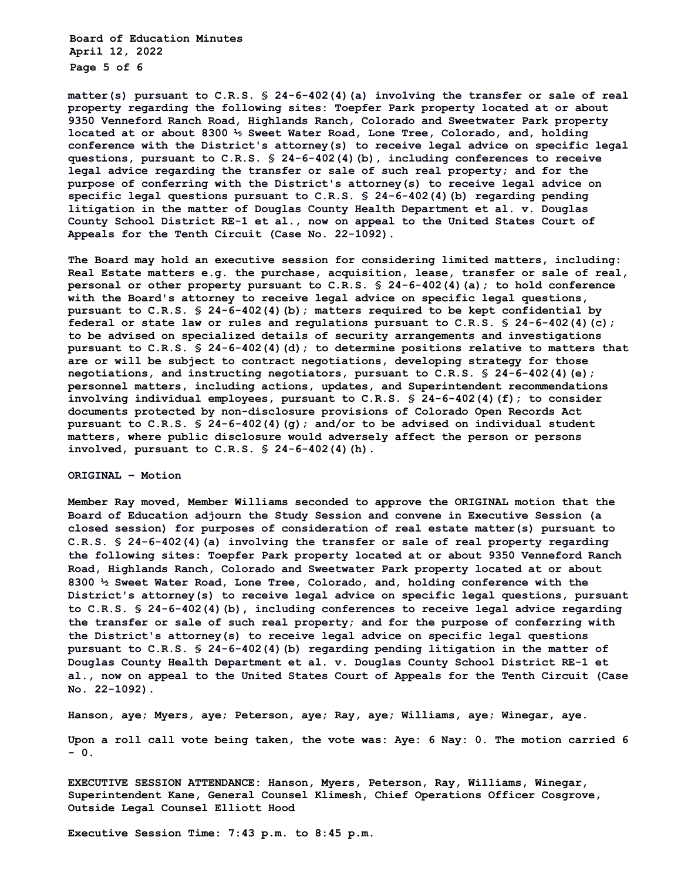**Board of Education Minutes April 12, 2022 Page 5 of 6** 

**matter(s) pursuant to C.R.S. § 24-6-402(4)(a) involving the transfer or sale of real property regarding the following sites: Toepfer Park property located at or about 9350 Venneford Ranch Road, Highlands Ranch, Colorado and Sweetwater Park property located at or about 8300 ½ Sweet Water Road, Lone Tree, Colorado, and, holding conference with the District's attorney(s) to receive legal advice on specific legal questions, pursuant to C.R.S. § 24-6-402(4)(b), including conferences to receive legal advice regarding the transfer or sale of such real property; and for the purpose of conferring with the District's attorney(s) to receive legal advice on specific legal questions pursuant to C.R.S. § 24-6-402(4)(b) regarding pending litigation in the matter of Douglas County Health Department et al. v. Douglas County School District RE-1 et al., now on appeal to the United States Court of Appeals for the Tenth Circuit (Case No. 22-1092).** 

**The Board may hold an executive session for considering limited matters, including: Real Estate matters e.g. the purchase, acquisition, lease, transfer or sale of real, personal or other property pursuant to C.R.S. § 24-6-402(4)(a); to hold conference with the Board's attorney to receive legal advice on specific legal questions, pursuant to C.R.S. § 24-6-402(4)(b); matters required to be kept confidential by federal or state law or rules and regulations pursuant to C.R.S. § 24-6-402(4)(c); to be advised on specialized details of security arrangements and investigations pursuant to C.R.S. § 24-6-402(4)(d); to determine positions relative to matters that are or will be subject to contract negotiations, developing strategy for those negotiations, and instructing negotiators, pursuant to C.R.S. § 24-6-402(4)(e); personnel matters, including actions, updates, and Superintendent recommendations involving individual employees, pursuant to C.R.S. § 24-6-402(4)(f); to consider documents protected by non-disclosure provisions of Colorado Open Records Act pursuant to C.R.S. § 24-6-402(4)(g); and/or to be advised on individual student matters, where public disclosure would adversely affect the person or persons involved, pursuant to C.R.S. § 24-6-402(4)(h).** 

# **ORIGINAL – Motion**

**Member Ray moved, Member Williams seconded to approve the ORIGINAL motion that the Board of Education adjourn the Study Session and convene in Executive Session (a closed session) for purposes of consideration of real estate matter(s) pursuant to C.R.S. § 24-6-402(4)(a) involving the transfer or sale of real property regarding the following sites: Toepfer Park property located at or about 9350 Venneford Ranch Road, Highlands Ranch, Colorado and Sweetwater Park property located at or about 8300 ½ Sweet Water Road, Lone Tree, Colorado, and, holding conference with the District's attorney(s) to receive legal advice on specific legal questions, pursuant to C.R.S. § 24-6-402(4)(b), including conferences to receive legal advice regarding the transfer or sale of such real property; and for the purpose of conferring with the District's attorney(s) to receive legal advice on specific legal questions pursuant to C.R.S. § 24-6-402(4)(b) regarding pending litigation in the matter of Douglas County Health Department et al. v. Douglas County School District RE-1 et al., now on appeal to the United States Court of Appeals for the Tenth Circuit (Case No. 22-1092).**

**Hanson, aye; Myers, aye; Peterson, aye; Ray, aye; Williams, aye; Winegar, aye.** 

**Upon a roll call vote being taken, the vote was: Aye: 6 Nay: 0. The motion carried 6 - 0.**

**EXECUTIVE SESSION ATTENDANCE: Hanson, Myers, Peterson, Ray, Williams, Winegar, Superintendent Kane, General Counsel Klimesh, Chief Operations Officer Cosgrove, Outside Legal Counsel Elliott Hood** 

**Executive Session Time: 7:43 p.m. to 8:45 p.m.**